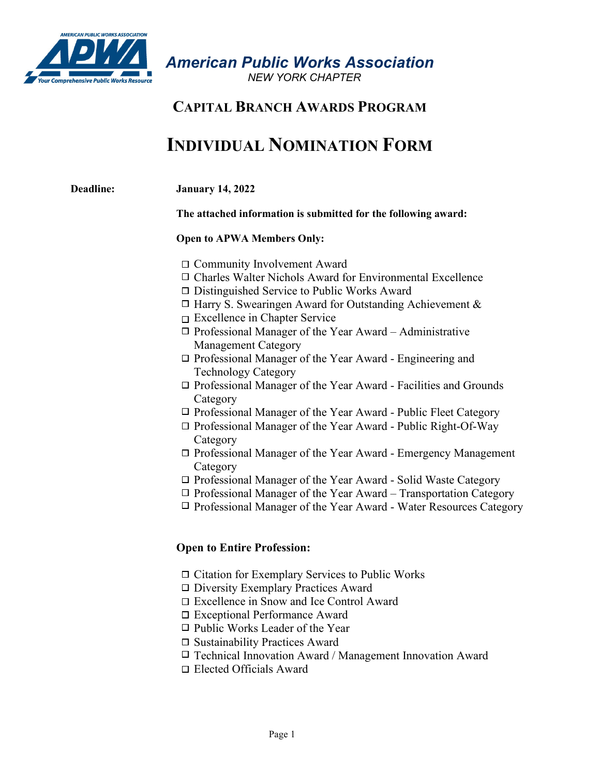

*American Public Works Association* 

 *NEW YORK CHAPTER*

## **CAPITAL BRANCH AWARDS PROGRAM**

# **INDIVIDUAL NOMINATION FORM**

| <b>Deadline:</b> | <b>January 14, 2022</b><br>The attached information is submitted for the following award: |  |  |
|------------------|-------------------------------------------------------------------------------------------|--|--|
|                  |                                                                                           |  |  |
|                  | <b>Open to APWA Members Only:</b>                                                         |  |  |
|                  | $\Box$ Community Involvement Award                                                        |  |  |
|                  | □ Charles Walter Nichols Award for Environmental Excellence                               |  |  |
|                  | $\Box$ Distinguished Service to Public Works Award                                        |  |  |
|                  | $\Box$ Harry S. Swearingen Award for Outstanding Achievement &                            |  |  |
|                  | $\Box$ Excellence in Chapter Service                                                      |  |  |
|                  | $\Box$ Professional Manager of the Year Award – Administrative                            |  |  |
|                  | <b>Management Category</b>                                                                |  |  |
|                  | $\Box$ Professional Manager of the Year Award - Engineering and                           |  |  |
|                  | <b>Technology Category</b>                                                                |  |  |
|                  | $\Box$ Professional Manager of the Year Award - Facilities and Grounds                    |  |  |
|                  | Category                                                                                  |  |  |
|                  | $\Box$ Professional Manager of the Year Award - Public Fleet Category                     |  |  |
|                  | $\Box$ Professional Manager of the Year Award - Public Right-Of-Way                       |  |  |
|                  | Category                                                                                  |  |  |
|                  | $\Box$ Professional Manager of the Year Award - Emergency Management                      |  |  |
|                  | Category                                                                                  |  |  |
|                  | □ Professional Manager of the Year Award - Solid Waste Category                           |  |  |
|                  | $\Box$ Professional Manager of the Year Award - Transportation Category                   |  |  |
|                  | $\Box$ Professional Manager of the Year Award - Water Resources Category                  |  |  |

## **Open to Entire Profession:**

- $\Box$  Citation for Exemplary Services to Public Works
- Diversity Exemplary Practices Award
- Excellence in Snow and Ice Control Award
- Exceptional Performance Award
- $\Box$  Public Works Leader of the Year
- □ Sustainability Practices Award
- $\Box$  Technical Innovation Award / Management Innovation Award
- Elected Officials Award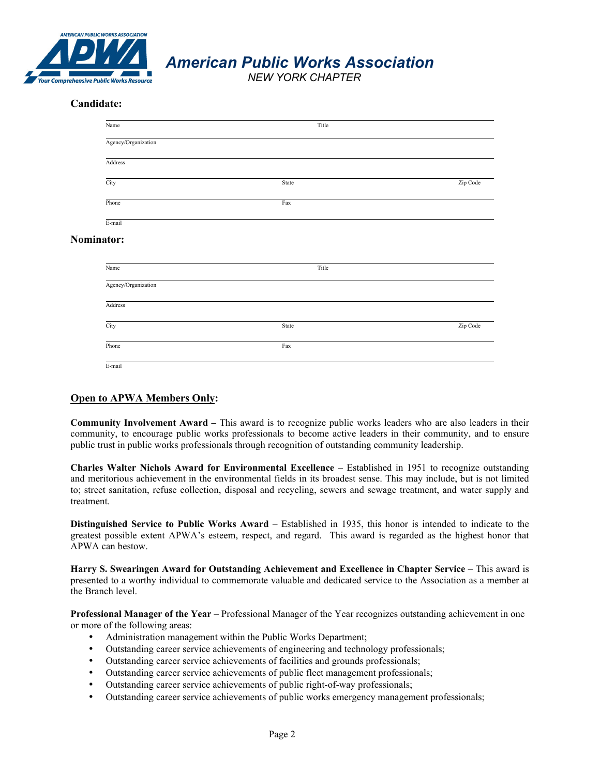

*American Public Works Association* 

 *NEW YORK CHAPTER*

### **Candidate:**

| Name                | Title                     |          |
|---------------------|---------------------------|----------|
| Agency/Organization |                           |          |
| Address             |                           |          |
| City                | State                     | Zip Code |
| Phone               | Fax                       |          |
| E-mail              |                           |          |
| Nominator:          |                           |          |
| Name                | Title                     |          |
| Agency/Organization |                           |          |
| Address             |                           |          |
| City                | State                     | Zip Code |
| Phone               | $\ensuremath{\text{Fax}}$ |          |
| E-mail              |                           |          |

#### **Open to APWA Members Only:**

**Community Involvement Award –** This award is to recognize public works leaders who are also leaders in their community, to encourage public works professionals to become active leaders in their community, and to ensure public trust in public works professionals through recognition of outstanding community leadership.

**Charles Walter Nichols Award for Environmental Excellence** – Established in 1951 to recognize outstanding and meritorious achievement in the environmental fields in its broadest sense. This may include, but is not limited to; street sanitation, refuse collection, disposal and recycling, sewers and sewage treatment, and water supply and treatment.

**Distinguished Service to Public Works Award** – Established in 1935, this honor is intended to indicate to the greatest possible extent APWA's esteem, respect, and regard. This award is regarded as the highest honor that APWA can bestow.

**Harry S. Swearingen Award for Outstanding Achievement and Excellence in Chapter Service** – This award is presented to a worthy individual to commemorate valuable and dedicated service to the Association as a member at the Branch level.

**Professional Manager of the Year** – Professional Manager of the Year recognizes outstanding achievement in one or more of the following areas:

- Administration management within the Public Works Department;
- Outstanding career service achievements of engineering and technology professionals;
- Outstanding career service achievements of facilities and grounds professionals;
- Outstanding career service achievements of public fleet management professionals;
- Outstanding career service achievements of public right-of-way professionals;
- Outstanding career service achievements of public works emergency management professionals;